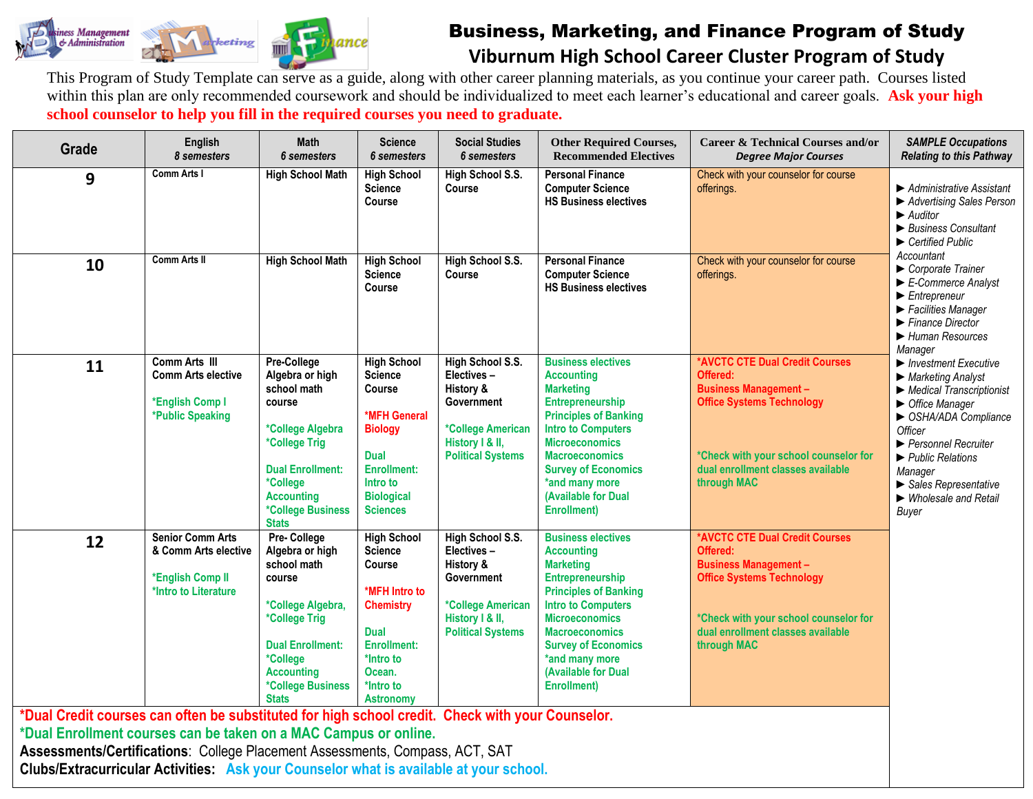

## Business, Marketing, and Finance Program of Study **Viburnum High School Career Cluster Program of Study**

This Program of Study Template can serve as a guide, along with other career planning materials, as you continue your career path. Courses listed within this plan are only recommended coursework and should be individualized to meet each learner's educational and career goals. **Ask your high school counselor to help you fill in the required courses you need to graduate.**

| <b>English</b><br>8 semesters                                                               | Math<br><b>6</b> semesters                                                                                                                                                                      | <b>Science</b><br><b>6</b> semesters                                                                                                                                             | <b>Social Studies</b><br><b>6</b> semesters                                                                                          | <b>Other Required Courses,</b><br><b>Recommended Electives</b>                                                                                                                                                                                                                                            | <b>Career &amp; Technical Courses and/or</b><br><b>Degree Major Courses</b>                                                                                                                                 | <b>SAMPLE Occupations</b><br><b>Relating to this Pathway</b>                                                                                                                                                                                                                                                                                                                                                     |
|---------------------------------------------------------------------------------------------|-------------------------------------------------------------------------------------------------------------------------------------------------------------------------------------------------|----------------------------------------------------------------------------------------------------------------------------------------------------------------------------------|--------------------------------------------------------------------------------------------------------------------------------------|-----------------------------------------------------------------------------------------------------------------------------------------------------------------------------------------------------------------------------------------------------------------------------------------------------------|-------------------------------------------------------------------------------------------------------------------------------------------------------------------------------------------------------------|------------------------------------------------------------------------------------------------------------------------------------------------------------------------------------------------------------------------------------------------------------------------------------------------------------------------------------------------------------------------------------------------------------------|
| <b>Comm Arts I</b>                                                                          | <b>High School Math</b>                                                                                                                                                                         | <b>High School</b><br><b>Science</b><br>Course                                                                                                                                   | High School S.S.<br>Course                                                                                                           | <b>Personal Finance</b><br><b>Computer Science</b><br><b>HS Business electives</b>                                                                                                                                                                                                                        | Check with your counselor for course<br>offerings.                                                                                                                                                          | ▶ Administrative Assistant<br>Advertising Sales Person<br>$\blacktriangleright$ Auditor<br>Business Consultant<br>$\blacktriangleright$ Certified Public                                                                                                                                                                                                                                                         |
| <b>Comm Arts II</b>                                                                         | <b>High School Math</b>                                                                                                                                                                         | <b>High School</b><br><b>Science</b><br>Course                                                                                                                                   | High School S.S.<br><b>Course</b>                                                                                                    | <b>Personal Finance</b><br><b>Computer Science</b><br><b>HS Business electives</b>                                                                                                                                                                                                                        | Check with your counselor for course<br>offerings.                                                                                                                                                          | Accountant<br>Corporate Trainer<br>$\blacktriangleright$ E-Commerce Analyst<br>$\blacktriangleright$ Entrepreneur<br>▶ Facilities Manager<br>$\blacktriangleright$ Finance Director<br>Human Resources                                                                                                                                                                                                           |
| Comm Arts III<br><b>Comm Arts elective</b><br>*English Comp I<br>*Public Speaking           | Pre-College<br>Algebra or high<br>school math<br>course<br>*College Algebra<br>*College Trig<br><b>Dual Enrollment:</b><br>*College<br><b>Accounting</b><br>*College Business<br><b>Stats</b>   | <b>High School</b><br><b>Science</b><br>Course<br>*MFH General<br><b>Biology</b><br><b>Dual</b><br><b>Enrollment:</b><br>Intro to<br><b>Biological</b><br><b>Sciences</b>        | High School S.S.<br>Electives-<br>History &<br>Government<br>*College American<br>History I & II,<br><b>Political Systems</b>        | <b>Business electives</b><br><b>Accounting</b><br><b>Marketing</b><br><b>Entrepreneurship</b><br><b>Principles of Banking</b><br><b>Intro to Computers</b><br><b>Microeconomics</b><br><b>Macroeconomics</b><br><b>Survey of Economics</b><br>*and many more<br>(Available for Dual<br><b>Enrollment)</b> | *AVCTC CTE Dual Credit Courses<br>Offered:<br><b>Business Management -</b><br><b>Office Systems Technology</b><br>*Check with your school counselor for<br>dual enrollment classes available<br>through MAC | Manager<br>$\blacktriangleright$ Investment Executive<br>$\blacktriangleright$ Marketing Analyst<br>$\blacktriangleright$ Medical Transcriptionist<br>$\triangleright$ Office Manager<br>SHA/ADA Compliance<br>Officer<br>▶ Personnel Recruiter<br>$\blacktriangleright$ Public Relations<br>Manager<br>$\blacktriangleright$ Sales Representative<br>$\blacktriangleright$ Wholesale and Retail<br><b>Buyer</b> |
| <b>Senior Comm Arts</b><br>& Comm Arts elective<br>*English Comp II<br>*Intro to Literature | Pre- College<br>Algebra or high<br>school math<br>course<br>*College Algebra,<br>*College Trig<br><b>Dual Enrollment:</b><br>*College<br><b>Accounting</b><br>*College Business<br><b>Stats</b> | <b>High School</b><br><b>Science</b><br>Course<br>*MFH Intro to<br><b>Chemistry</b><br><b>Dual</b><br><b>Enrollment:</b><br>*Intro to<br>Ocean.<br>*Intro to<br><b>Astronomy</b> | High School S.S.<br>Electives-<br>History &<br><b>Government</b><br>*College American<br>History I & II,<br><b>Political Systems</b> | <b>Business electives</b><br><b>Accounting</b><br><b>Marketing</b><br>Entrepreneurship<br><b>Principles of Banking</b><br><b>Intro to Computers</b><br><b>Microeconomics</b><br><b>Macroeconomics</b><br><b>Survey of Economics</b><br>*and many more<br>(Available for Dual<br><b>Enrollment</b> )       | *AVCTC CTE Dual Credit Courses<br>Offered:<br><b>Business Management -</b><br><b>Office Systems Technology</b><br>*Check with your school counselor for<br>dual enrollment classes available<br>through MAC |                                                                                                                                                                                                                                                                                                                                                                                                                  |
|                                                                                             |                                                                                                                                                                                                 |                                                                                                                                                                                  |                                                                                                                                      | *Dual Enrollment courses can be taken on a MAC Campus or online.<br>Assessments/Certifications: College Placement Assessments, Compass, ACT, SAT                                                                                                                                                          | *Dual Credit courses can often be substituted for high school credit. Check with your Counselor.<br><b>Clubs/Extracurricular Activities: Ask your Counselor what is available at your school.</b>           |                                                                                                                                                                                                                                                                                                                                                                                                                  |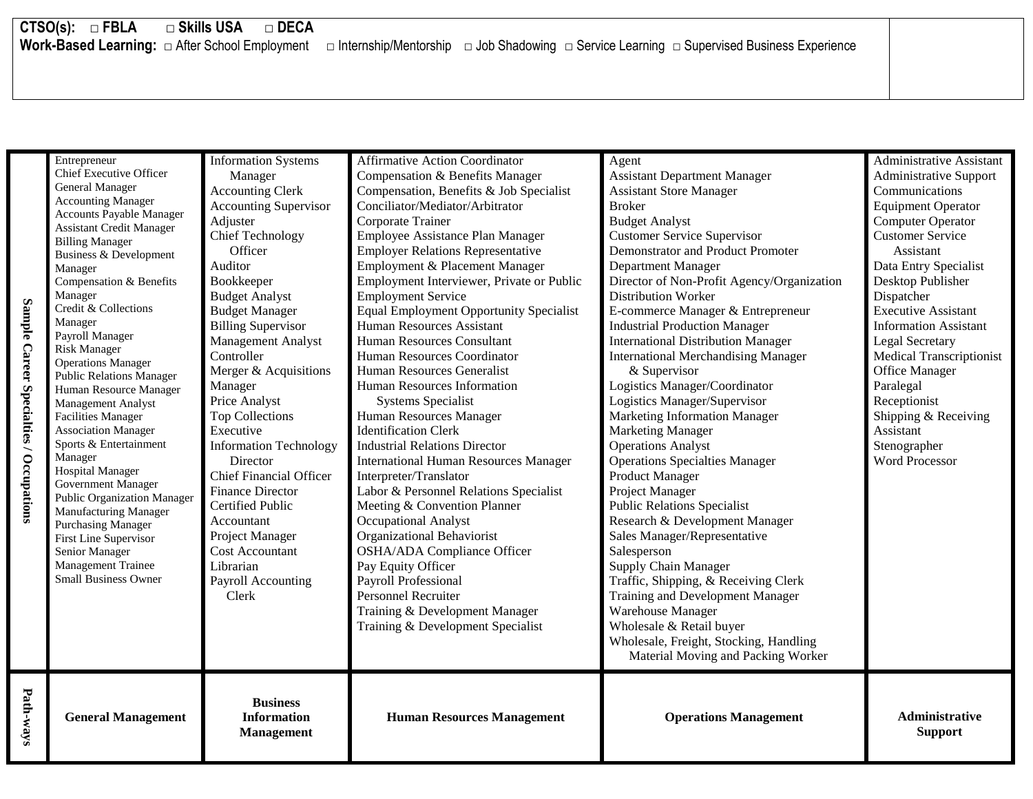## **CTSO(s): □ FBLA □ Skills USA □ DECA**

**Work-Based Learning:** □ After School Employment □ Internship/Mentorship □ Job Shadowing □ Service Learning □ Supervised Business Experience

|                                         | Entrepreneur                                                    | <b>Information Systems</b>     | <b>Affirmative Action Coordinator</b>          | Agent                                      | Administrative Assistant        |
|-----------------------------------------|-----------------------------------------------------------------|--------------------------------|------------------------------------------------|--------------------------------------------|---------------------------------|
|                                         | <b>Chief Executive Officer</b><br><b>General Manager</b>        | Manager                        | Compensation & Benefits Manager                | <b>Assistant Department Manager</b>        | <b>Administrative Support</b>   |
|                                         | <b>Accounting Manager</b>                                       | <b>Accounting Clerk</b>        | Compensation, Benefits & Job Specialist        | <b>Assistant Store Manager</b>             | Communications                  |
|                                         | <b>Accounts Payable Manager</b>                                 | <b>Accounting Supervisor</b>   | Conciliator/Mediator/Arbitrator                | <b>Broker</b>                              | <b>Equipment Operator</b>       |
|                                         | <b>Assistant Credit Manager</b>                                 | Adjuster                       | Corporate Trainer                              | <b>Budget Analyst</b>                      | Computer Operator               |
|                                         | <b>Billing Manager</b>                                          | <b>Chief Technology</b>        | Employee Assistance Plan Manager               | <b>Customer Service Supervisor</b>         | <b>Customer Service</b>         |
|                                         | Business & Development                                          | Officer                        | <b>Employer Relations Representative</b>       | Demonstrator and Product Promoter          | Assistant                       |
|                                         | Manager                                                         | Auditor                        | Employment & Placement Manager                 | Department Manager                         | Data Entry Specialist           |
|                                         | Compensation & Benefits                                         | Bookkeeper                     | Employment Interviewer, Private or Public      | Director of Non-Profit Agency/Organization | Desktop Publisher               |
|                                         | Manager                                                         | <b>Budget Analyst</b>          | <b>Employment Service</b>                      | Distribution Worker                        | Dispatcher                      |
|                                         | Credit & Collections                                            | <b>Budget Manager</b>          | <b>Equal Employment Opportunity Specialist</b> | E-commerce Manager & Entrepreneur          | <b>Executive Assistant</b>      |
|                                         | Manager                                                         | <b>Billing Supervisor</b>      | Human Resources Assistant                      | <b>Industrial Production Manager</b>       | <b>Information Assistant</b>    |
| Sample Career Specialties / Occupations | Payroll Manager                                                 | <b>Management Analyst</b>      | Human Resources Consultant                     | <b>International Distribution Manager</b>  | Legal Secretary                 |
|                                         | <b>Risk Manager</b><br><b>Operations Manager</b>                | Controller                     | Human Resources Coordinator                    | <b>International Merchandising Manager</b> | <b>Medical Transcriptionist</b> |
|                                         | <b>Public Relations Manager</b>                                 | Merger & Acquisitions          | Human Resources Generalist                     | & Supervisor                               | <b>Office Manager</b>           |
|                                         | Human Resource Manager                                          | Manager                        | Human Resources Information                    | Logistics Manager/Coordinator              | Paralegal                       |
|                                         | <b>Management Analyst</b>                                       | Price Analyst                  | <b>Systems Specialist</b>                      | Logistics Manager/Supervisor               | Receptionist                    |
|                                         | <b>Facilities Manager</b>                                       | <b>Top Collections</b>         | Human Resources Manager                        | <b>Marketing Information Manager</b>       | Shipping & Receiving            |
|                                         | <b>Association Manager</b>                                      | Executive                      | <b>Identification Clerk</b>                    | <b>Marketing Manager</b>                   | Assistant                       |
|                                         | Sports & Entertainment                                          | <b>Information Technology</b>  | <b>Industrial Relations Director</b>           | <b>Operations Analyst</b>                  | Stenographer                    |
|                                         | Manager                                                         | Director                       | <b>International Human Resources Manager</b>   | <b>Operations Specialties Manager</b>      | <b>Word Processor</b>           |
|                                         | <b>Hospital Manager</b>                                         | <b>Chief Financial Officer</b> | Interpreter/Translator                         | <b>Product Manager</b>                     |                                 |
|                                         | <b>Government Manager</b><br><b>Public Organization Manager</b> | <b>Finance Director</b>        | Labor & Personnel Relations Specialist         | Project Manager                            |                                 |
|                                         | Manufacturing Manager                                           | Certified Public               | Meeting & Convention Planner                   | <b>Public Relations Specialist</b>         |                                 |
|                                         | <b>Purchasing Manager</b>                                       | Accountant                     | Occupational Analyst                           | Research & Development Manager             |                                 |
|                                         | <b>First Line Supervisor</b>                                    | Project Manager                | Organizational Behaviorist                     | Sales Manager/Representative               |                                 |
|                                         | Senior Manager                                                  | <b>Cost Accountant</b>         | <b>OSHA/ADA Compliance Officer</b>             | Salesperson                                |                                 |
|                                         | Management Trainee                                              | Librarian                      | Pay Equity Officer                             | Supply Chain Manager                       |                                 |
|                                         | Small Business Owner                                            | Payroll Accounting             | Payroll Professional                           | Traffic, Shipping, & Receiving Clerk       |                                 |
|                                         |                                                                 | Clerk                          | <b>Personnel Recruiter</b>                     | Training and Development Manager           |                                 |
|                                         |                                                                 |                                | Training & Development Manager                 | Warehouse Manager                          |                                 |
|                                         |                                                                 |                                | Training & Development Specialist              | Wholesale & Retail buyer                   |                                 |
|                                         |                                                                 |                                |                                                | Wholesale, Freight, Stocking, Handling     |                                 |
|                                         |                                                                 |                                |                                                | Material Moving and Packing Worker         |                                 |
|                                         |                                                                 |                                |                                                |                                            |                                 |
| Path-ways                               |                                                                 | <b>Business</b>                |                                                |                                            |                                 |
|                                         | <b>General Management</b>                                       | <b>Information</b>             | <b>Human Resources Management</b>              | <b>Operations Management</b>               | Administrative                  |
|                                         |                                                                 | <b>Management</b>              |                                                |                                            | <b>Support</b>                  |
|                                         |                                                                 |                                |                                                |                                            |                                 |